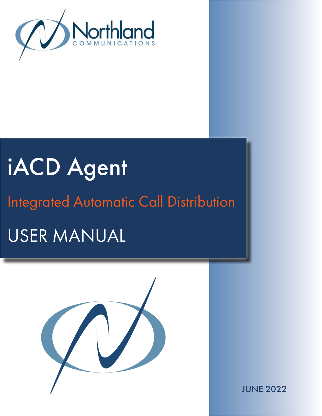

# iACD Agent USER MANUAL Integrated Automatic Call Distribution



JUNE 2022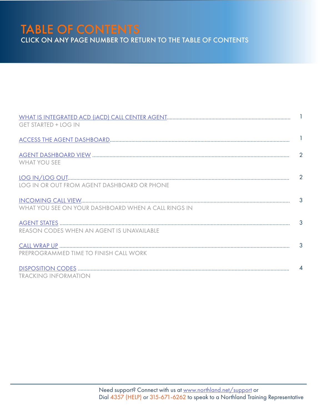# TABLE OF CONTENTS

CLICK ON ANY PAGE NUMBER TO RETURN TO THE TABLE OF CONTENTS

| <b>GET STARTED + LOG IN</b>                         |              |
|-----------------------------------------------------|--------------|
|                                                     |              |
| <b>WHAT YOU SEE</b>                                 |              |
| LOG IN OR OUT FROM AGENT DASHBOARD OR PHONE         |              |
| WHAT YOU SEE ON YOUR DASHBOARD WHEN A CALL RINGS IN |              |
| REASON CODES WHEN AN AGENT IS UNAVAILABLE           | $\mathbf{3}$ |
| PREPROGRAMMED TIME TO FINISH CALL WORK              |              |
| <b>TRACKING INFORMATION</b>                         |              |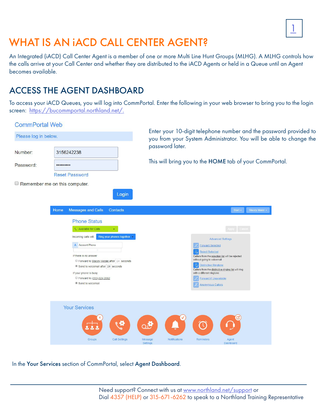

## <span id="page-2-0"></span>WHAT IS AN IACD CALL CENTER AGENT?

An Integrated (iACD) Call Center Agent is a member of one or more Multi Line Hunt Groups (MLHG). A MLHG controls how the calls arrive at your Call Center and whether they are distributed to the iACD Agents or held in a Queue until an Agent becomes available.

## <span id="page-2-1"></span>ACCESS THE AGENT DASHBOARD

To access your iACD Queues, you will log into CommPortal. Enter the following in your web browser to bring you to the login screen: <https://bucommportal.northland.net/>.



In the Your Services section of CommPortal, select Agent Dashboard.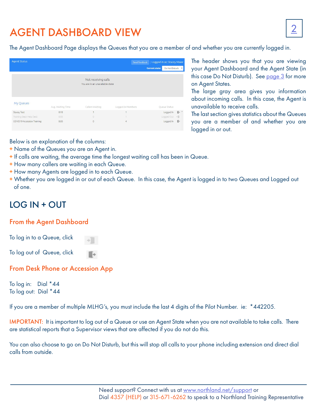## <span id="page-3-0"></span>AGENT DASHBOARD VIEW

The Agent Dashboard Page displays the Queues that you are a member of and whether you are currently logged in.

| <b>Agent Status</b>     |                   |                                                        | Send Feedback     | Logged in as: Stacey Maier              |                           |
|-------------------------|-------------------|--------------------------------------------------------|-------------------|-----------------------------------------|---------------------------|
|                         |                   |                                                        |                   | <b>Current state:</b><br>Do Not Disturb | $\boldsymbol{\mathrm{v}}$ |
|                         |                   | Not receiving calls<br>You are in an unavailable state |                   |                                         |                           |
| My Queues               | Avg. Waiting Time | Callers Waiting                                        | Logged-in Members | Queue Status                            |                           |
| <b>Stacey Test</b>      | 0:18              | ٠                                                      |                   | Logged In                               | $\mathbb{R}^+$ ^          |
|                         |                   |                                                        |                   |                                         |                           |
| Training Dept Help Desk | 0:00              | $\circ$                                                |                   | Logged Out                              | $+ \blacksquare$          |

The header shows you that you are viewing your Agent Dashboard and the Agent State (in this case Do Not Disturb). See [page 3](#page-4-1) for more on Agent States.

The large gray area gives you information about incoming calls. In this case, the Agent is unavailable to receive calls.

The last section gives statistics about the Queues you are a member of and whether you are logged in or out.

Below is an explanation of the columns:

- + Name of the Queues you are an Agent in.
- + If calls are waiting, the average time the longest waiting call has been in Queue.
- + How many callers are waiting in each Queue.
- + How many Agents are logged in to each Queue.
- + Whether you are logged in or out of each Queue. In this case, the Agent is logged in to two Queues and Logged out of one.

## <span id="page-3-1"></span>LOG IN + OUT

#### From the Agent Dashboard

To log in to a Queue, click

To log out of Queue, click

#### From Desk Phone or Accession App

To log in: Dial \*44 To log out: Dial \*44

If you are a member of multiple MLHG's, you must include the last 4 digits of the Pilot Number. ie: \*442205.

IMPORTANT: It is important to log out of a Queue or use an Agent State when you are not available to take calls. There are statistical reports that a Supervisor views that are affected if you do not do this.

You can also choose to go on Do Not Disturb, but this will stop all calls to your phone including extension and direct dial calls from outside.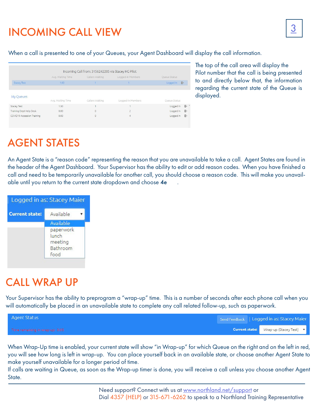## <span id="page-4-0"></span><sup>3</sup> INCOMING CALL VIEW

When a call is presented to one of your Queues, your Agent Dashboard will display the call information.

|                                               | Incoming Call from: 3156242205 via Stacey HG Pilot |                 |                   |              |
|-----------------------------------------------|----------------------------------------------------|-----------------|-------------------|--------------|
|                                               | Avg. Waiting Time                                  | Callers Waiting | Logged-in Members | Queue Status |
| <b>Stacey Test</b>                            | 1:30                                               |                 |                   | Logged In F+ |
| My Queues                                     | Avg. Waiting Time                                  | Callers Waiting | Logged-in Members | Queue Status |
|                                               |                                                    |                 |                   |              |
|                                               | 1:30                                               |                 |                   | Logged In    |
| <b>Stacey Test</b><br>Training Dept Help Desk | 0:00                                               | $\theta$        |                   | Logged In    |

The top of the call area will display the Pilot number that the call is being presented to and directly below that, the information regarding the current state of the Queue is displayed.

## <span id="page-4-1"></span>AGENT STATES

An Agent State is a "reason code" representing the reason that you are unavailable to take a call. Agent States are found in the header of the Agent Dashboard. Your Supervisor has the ability to edit or add reason codes. When you have finished a call and need to be temporarily unavailable for another call, you should choose a reason code. This will make you unavailable until you return to the current state dropdown and choose 4e

|                       | Logged in as: Stacey Maier                        |
|-----------------------|---------------------------------------------------|
| <b>Current state:</b> | Available                                         |
|                       | Available                                         |
|                       | paperwork<br>lunch<br>meeting<br>Bathroom<br>food |

## <span id="page-4-2"></span>CALL WRAP UP

Your Supervisor has the ability to preprogram a "wrap-up" time. This is a number of seconds after each phone call when you will automatically be placed in an unavailable state to complete any call related follow-up, such as paperwork.

| Agent Status                    |  | Send Feedback   Logged in as: Stacey Maier |
|---------------------------------|--|--------------------------------------------|
| Time remaining in wrap-up: 0:05 |  | Current state: Wrap-up (Stacey Test) v     |

When Wrap-Up time is enabled, your current state will show "in Wrap-up" for which Queue on the right and on the left in red, you will see how long is left in wrap-up. You can place yourself back in an available state, or choose another Agent State to make yourself unavailable for a longer period of time.

If calls are waiting in Queue, as soon as the Wrap-up timer is done, you will receive a call unless you choose another Agent State.